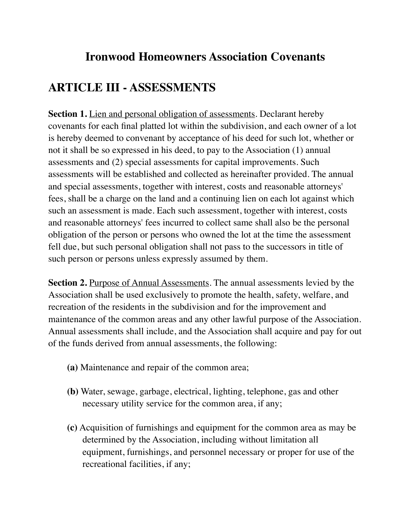## **Ironwood Homeowners Association Covenants**

## **ARTICLE III - ASSESSMENTS**

**Section 1.** Lien and personal obligation of assessments. Declarant hereby covenants for each final platted lot within the subdivision, and each owner of a lot is hereby deemed to convenant by acceptance of his deed for such lot, whether or not it shall be so expressed in his deed, to pay to the Association (1) annual assessments and (2) special assessments for capital improvements. Such assessments will be established and collected as hereinafter provided. The annual and special assessments, together with interest, costs and reasonable attorneys' fees, shall be a charge on the land and a continuing lien on each lot against which such an assessment is made. Each such assessment, together with interest, costs and reasonable attorneys' fees incurred to collect same shall also be the personal obligation of the person or persons who owned the lot at the time the assessment fell due, but such personal obligation shall not pass to the successors in title of such person or persons unless expressly assumed by them.

**Section 2.** Purpose of Annual Assessments. The annual assessments levied by the Association shall be used exclusively to promote the health, safety, welfare, and recreation of the residents in the subdivision and for the improvement and maintenance of the common areas and any other lawful purpose of the Association. Annual assessments shall include, and the Association shall acquire and pay for out of the funds derived from annual assessments, the following:

- **(a)** Maintenance and repair of the common area;
- **(b)** Water, sewage, garbage, electrical, lighting, telephone, gas and other necessary utility service for the common area, if any;
- **(c)** Acquisition of furnishings and equipment for the common area as may be determined by the Association, including without limitation all equipment, furnishings, and personnel necessary or proper for use of the recreational facilities, if any;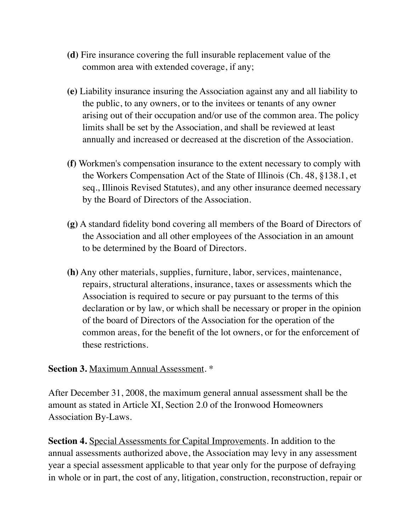- **(d)** Fire insurance covering the full insurable replacement value of the common area with extended coverage, if any;
- **(e)** Liability insurance insuring the Association against any and all liability to the public, to any owners, or to the invitees or tenants of any owner arising out of their occupation and/or use of the common area. The policy limits shall be set by the Association, and shall be reviewed at least annually and increased or decreased at the discretion of the Association.
- **(f)** Workmen's compensation insurance to the extent necessary to comply with the Workers Compensation Act of the State of Illinois (Ch. 48, §138.1, et seq., Illinois Revised Statutes), and any other insurance deemed necessary by the Board of Directors of the Association.
- **(g)** A standard fidelity bond covering all members of the Board of Directors of the Association and all other employees of the Association in an amount to be determined by the Board of Directors.
- **(h)** Any other materials, supplies, furniture, labor, services, maintenance, repairs, structural alterations, insurance, taxes or assessments which the Association is required to secure or pay pursuant to the terms of this declaration or by law, or which shall be necessary or proper in the opinion of the board of Directors of the Association for the operation of the common areas, for the benefit of the lot owners, or for the enforcement of these restrictions.

## **Section 3.** Maximum Annual Assessment. \*

After December 31, 2008, the maximum general annual assessment shall be the amount as stated in Article XI, Section 2.0 of the Ironwood Homeowners Association By-Laws.

**Section 4.** Special Assessments for Capital Improvements. In addition to the annual assessments authorized above, the Association may levy in any assessment year a special assessment applicable to that year only for the purpose of defraying in whole or in part, the cost of any, litigation, construction, reconstruction, repair or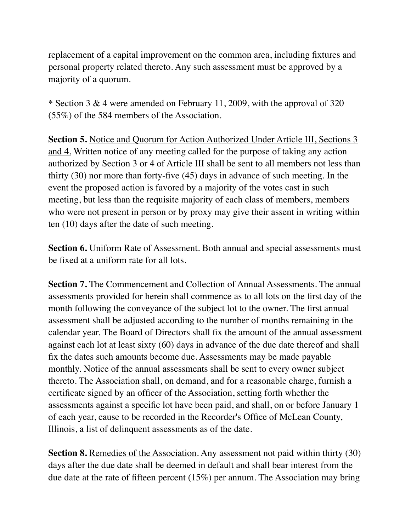replacement of a capital improvement on the common area, including fixtures and personal property related thereto. Any such assessment must be approved by a majority of a quorum.

\* Section 3 & 4 were amended on February 11, 2009, with the approval of 320 (55%) of the 584 members of the Association.

**Section 5.** Notice and Quorum for Action Authorized Under Article III, Sections 3 and 4. Written notice of any meeting called for the purpose of taking any action authorized by Section 3 or 4 of Article III shall be sent to all members not less than thirty (30) nor more than forty-five (45) days in advance of such meeting. In the event the proposed action is favored by a majority of the votes cast in such meeting, but less than the requisite majority of each class of members, members who were not present in person or by proxy may give their assent in writing within ten (10) days after the date of such meeting.

**Section 6.** Uniform Rate of Assessment. Both annual and special assessments must be fixed at a uniform rate for all lots.

**Section 7.** The Commencement and Collection of Annual Assessments. The annual assessments provided for herein shall commence as to all lots on the first day of the month following the conveyance of the subject lot to the owner. The first annual assessment shall be adjusted according to the number of months remaining in the calendar year. The Board of Directors shall fix the amount of the annual assessment against each lot at least sixty (60) days in advance of the due date thereof and shall fix the dates such amounts become due. Assessments may be made payable monthly. Notice of the annual assessments shall be sent to every owner subject thereto. The Association shall, on demand, and for a reasonable charge, furnish a certificate signed by an officer of the Association, setting forth whether the assessments against a specific lot have been paid, and shall, on or before January 1 of each year, cause to be recorded in the Recorder's Office of McLean County, Illinois, a list of delinquent assessments as of the date.

**Section 8.** Remedies of the Association. Any assessment not paid within thirty (30) days after the due date shall be deemed in default and shall bear interest from the due date at the rate of fifteen percent (15%) per annum. The Association may bring